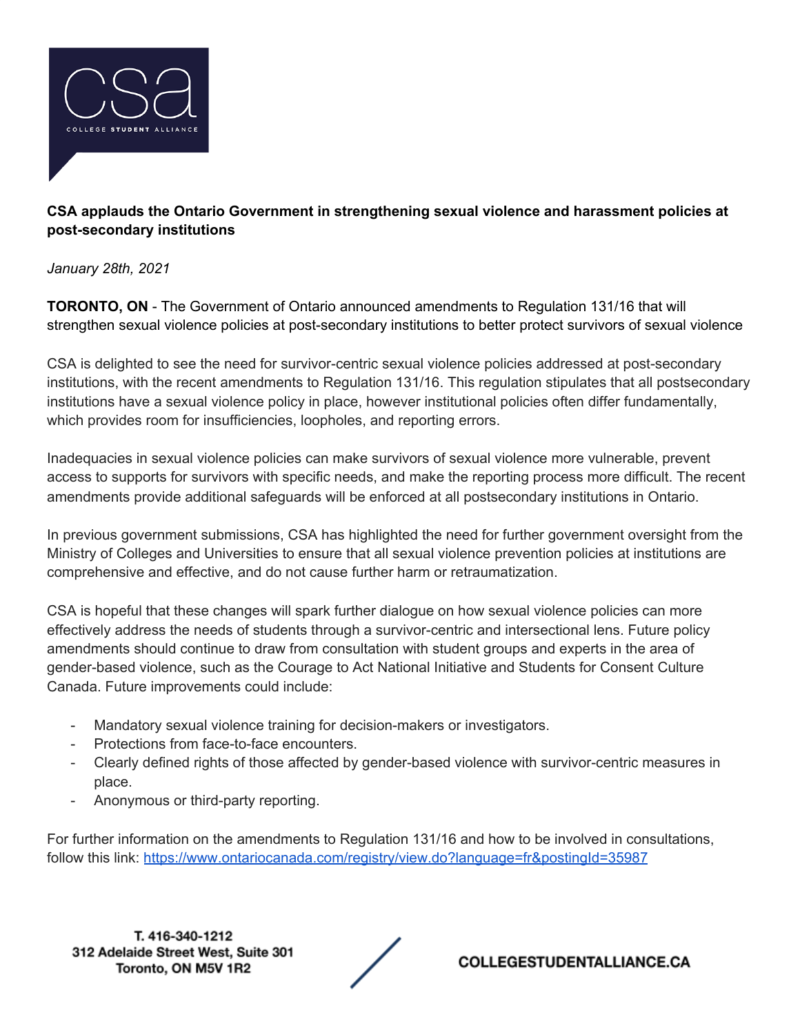

## **CSA applauds the Ontario Government in strengthening sexual violence and harassment policies at post-secondary institutions**

*January 28th, 2021*

**TORONTO, ON** - The Government of Ontario announced amendments to Regulation 131/16 that will strengthen sexual violence policies at post-secondary institutions to better protect survivors of sexual violence

CSA is delighted to see the need for survivor-centric sexual violence policies addressed at post-secondary institutions, with the recent amendments to Regulation 131/16. This regulation stipulates that all postsecondary institutions have a sexual violence policy in place, however institutional policies often differ fundamentally, which provides room for insufficiencies, loopholes, and reporting errors.

Inadequacies in sexual violence policies can make survivors of sexual violence more vulnerable, prevent access to supports for survivors with specific needs, and make the reporting process more difficult. The recent amendments provide additional safeguards will be enforced at all postsecondary institutions in Ontario.

In previous government submissions, CSA has highlighted the need for further government oversight from the Ministry of Colleges and Universities to ensure that all sexual violence prevention policies at institutions are comprehensive and effective, and do not cause further harm or retraumatization.

CSA is hopeful that these changes will spark further dialogue on how sexual violence policies can more effectively address the needs of students through a survivor-centric and intersectional lens. Future policy amendments should continue to draw from consultation with student groups and experts in the area of gender-based violence, such as the Courage to Act National Initiative and Students for Consent Culture Canada. Future improvements could include:

- Mandatory sexual violence training for decision-makers or investigators.
- Protections from face-to-face encounters.
- Clearly defined rights of those affected by gender-based violence with survivor-centric measures in place.
- Anonymous or third-party reporting.

For further information on the amendments to Regulation 131/16 and how to be involved in consultations, follow this link: <https://www.ontariocanada.com/registry/view.do?language=fr&postingId=35987>

T. 416-340-1212 312 Adelaide Street West, Suite 301 Toronto, ON M5V 1R2



**COLLEGESTUDENTALLIANCE.CA**